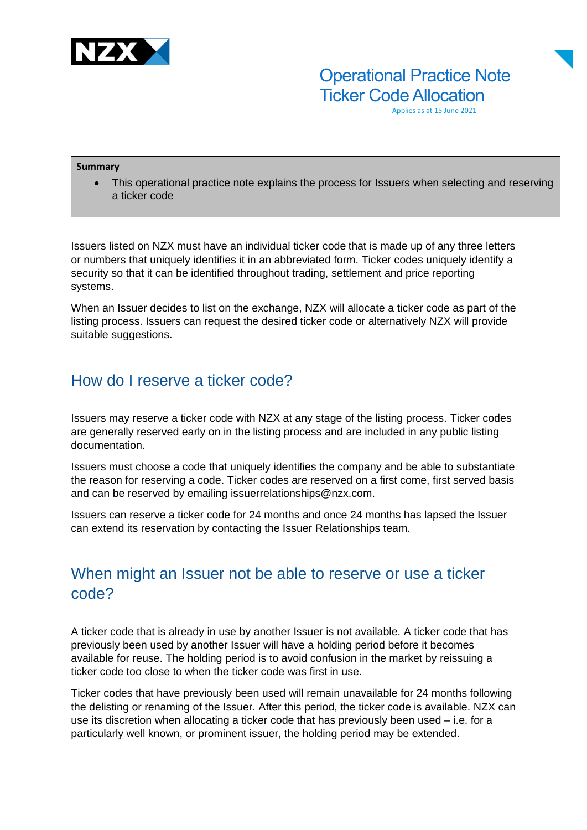

Operational Practice Note **Ticker Code Allocation** 

Applies as at 15 June 2021

#### **Summary**

This operational practice note explains the process for Issuers when selecting and reserving a ticker code

Issuers listed on NZX must have an individual ticker code that is made up of any three letters or numbers that uniquely identifies it in an abbreviated form. Ticker codes uniquely identify a security so that it can be identified throughout trading, settlement and price reporting systems.

When an Issuer decides to list on the exchange, NZX will allocate a ticker code as part of the listing process. Issuers can request the desired ticker code or alternatively NZX will provide suitable suggestions.

#### How do I reserve a ticker code?

Issuers may reserve a ticker code with NZX at any stage of the listing process. Ticker codes are generally reserved early on in the listing process and are included in any public listing documentation.

Issuers must choose a code that uniquely identifies the company and be able to substantiate the reason for reserving a code. Ticker codes are reserved on a first come, first served basis and can be reserved by emailing issuerrelationships@nzx.com.

Issuers can reserve a ticker code for 24 months and once 24 months has lapsed the Issuer can extend its reservation by contacting the Issuer Relationships team.

## When might an Issuer not be able to reserve or use a ticker code?

A ticker code that is already in use by another Issuer is not available. A ticker code that has previously been used by another Issuer will have a holding period before it becomes available for reuse. The holding period is to avoid confusion in the market by reissuing a ticker code too close to when the ticker code was first in use.

Ticker codes that have previously been used will remain unavailable for 24 months following the delisting or renaming of the Issuer. After this period, the ticker code is available. NZX can use its discretion when allocating a ticker code that has previously been used – i.e. for a particularly well known, or prominent issuer, the holding period may be extended.